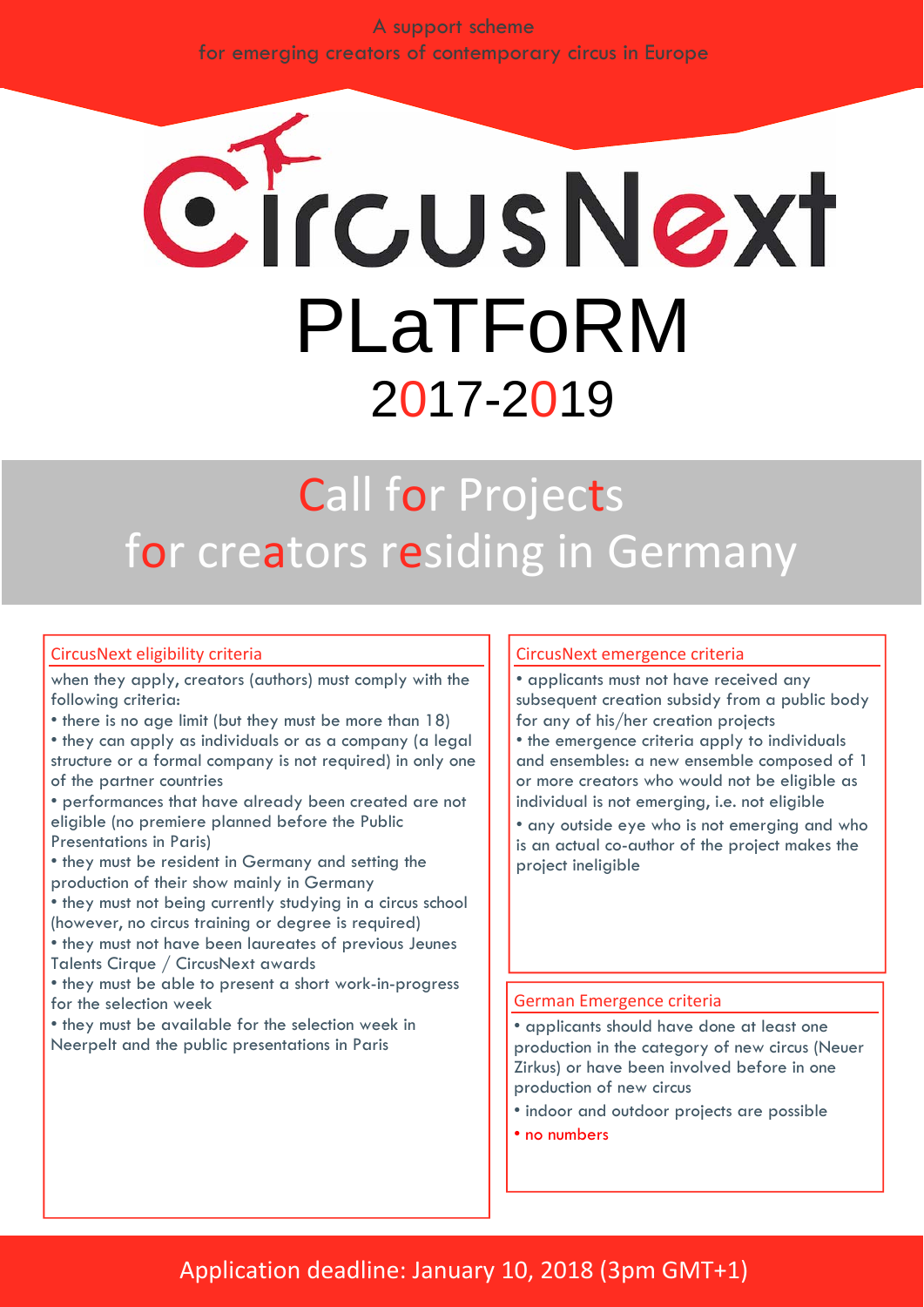A support scheme for emerging creators of contemporary circus in Europe

# CircusNext PLaTFoRM 2017-2019

## Call for Projects for creators residing in Germany

#### CircusNext eligibility criteria

when they apply, creators (authors) must comply with the following criteria:

• there is no age limit (but they must be more than 18)

• they can apply as individuals or as a company (a legal structure or a formal company is not required) in only one of the partner countries

- performances that have already been created are not eligible (no premiere planned before the Public Presentations in Paris)
- they must be resident in Germany and setting the production of their show mainly in Germany

• they must not being currently studying in a circus school (however, no circus training or degree is required)

• they must not have been laureates of previous Jeunes Talents Cirque / CircusNext awards

• they must be able to present a short work-in-progress for the selection week

• they must be available for the selection week in Neerpelt and the public presentations in Paris

#### CircusNext emergence criteria

• applicants must not have received any subsequent creation subsidy from a public body for any of his/her creation projects

• the emergence criteria apply to individuals and ensembles: a new ensemble composed of 1 or more creators who would not be eligible as individual is not emerging, i.e. not eligible

• any outside eye who is not emerging and who is an actual co-author of the project makes the project ineligible

#### German Emergence criteria

• applicants should have done at least one production in the category of new circus (Neuer Zirkus) or have been involved before in one production of new circus

- indoor and outdoor projects are possible
- no numbers

### Application deadline: January 10, 2018 (3pm GMT+1)